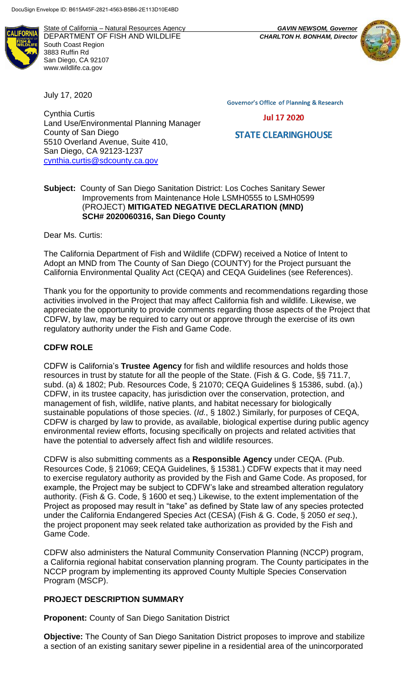State of California – Natural Resources Agency *GAVIN NEWSOM, Governor* DEPARTMENT OF FISH AND WILDLIFE *CHARLTON H. BONHAM, Director* South Coast Region 3883 Ruffin Rd San Diego, CA 92107 www.wildlife.ca.gov

July 17, 2020

Cynthia Curtis Land Use/Environmental Planning Manager County of San Diego 5510 Overland Avenue, Suite 410, San Diego, CA 92123-1237 [cynthia.curtis@sdcounty.ca.gov](mailto:cynthia.curtis@sdcounty.ca.gov)

**Governor's Office of Planning & Research** 

**Jul 17 2020** 

**STATE CLEARINGHOUSE** 

## **Subject:** County of San Diego Sanitation District: Los Coches Sanitary Sewer Improvements from Maintenance Hole LSMH0555 to LSMH0599 (PROJECT) **MITIGATED NEGATIVE DECLARATION (MND) SCH# 2020060316, San Diego County**

Dear Ms. Curtis:

The California Department of Fish and Wildlife (CDFW) received a Notice of Intent to Adopt an MND from The County of San Diego (COUNTY) for the Project pursuant the California Environmental Quality Act (CEQA) and CEQA Guidelines (see References).

Thank you for the opportunity to provide comments and recommendations regarding those activities involved in the Project that may affect California fish and wildlife. Likewise, we appreciate the opportunity to provide comments regarding those aspects of the Project that CDFW, by law, may be required to carry out or approve through the exercise of its own regulatory authority under the Fish and Game Code.

# **CDFW ROLE**

CDFW is California's **Trustee Agency** for fish and wildlife resources and holds those resources in trust by statute for all the people of the State. (Fish & G. Code, §§ 711.7, subd. (a) & 1802; Pub. Resources Code, § 21070; CEQA Guidelines § 15386, subd. (a).) CDFW, in its trustee capacity, has jurisdiction over the conservation, protection, and management of fish, wildlife, native plants, and habitat necessary for biologically sustainable populations of those species. (*Id.*, § 1802.) Similarly, for purposes of CEQA, CDFW is charged by law to provide, as available, biological expertise during public agency environmental review efforts, focusing specifically on projects and related activities that have the potential to adversely affect fish and wildlife resources.

CDFW is also submitting comments as a **Responsible Agency** under CEQA. (Pub. Resources Code, § 21069; CEQA Guidelines, § 15381.) CDFW expects that it may need to exercise regulatory authority as provided by the Fish and Game Code. As proposed, for example, the Project may be subject to CDFW's lake and streambed alteration regulatory authority. (Fish & G. Code, § 1600 et seq.) Likewise, to the extent implementation of the Project as proposed may result in "take" as defined by State law of any species protected under the California Endangered Species Act (CESA) (Fish & G. Code, § 2050 *et seq*.), the project proponent may seek related take authorization as provided by the Fish and Game Code.

CDFW also administers the Natural Community Conservation Planning (NCCP) program, a California regional habitat conservation planning program. The County participates in the NCCP program by implementing its approved County Multiple Species Conservation Program (MSCP).

## **PROJECT DESCRIPTION SUMMARY**

**Proponent:** County of San Diego Sanitation District

**Objective:** The County of San Diego Sanitation District proposes to improve and stabilize a section of an existing sanitary sewer pipeline in a residential area of the unincorporated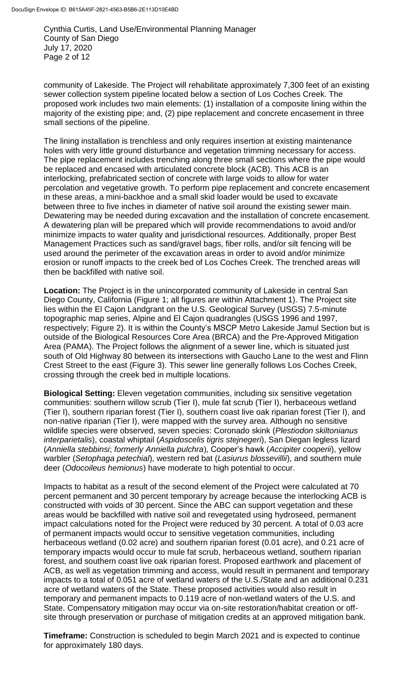Cynthia Curtis, Land Use/Environmental Planning Manager County of San Diego July 17, 2020 Page 2 of 12

community of Lakeside. The Project will rehabilitate approximately 7,300 feet of an existing sewer collection system pipeline located below a section of Los Coches Creek. The proposed work includes two main elements: (1) installation of a composite lining within the majority of the existing pipe; and, (2) pipe replacement and concrete encasement in three small sections of the pipeline.

The lining installation is trenchless and only requires insertion at existing maintenance holes with very little ground disturbance and vegetation trimming necessary for access. The pipe replacement includes trenching along three small sections where the pipe would be replaced and encased with articulated concrete block (ACB). This ACB is an interlocking, prefabricated section of concrete with large voids to allow for water percolation and vegetative growth. To perform pipe replacement and concrete encasement in these areas, a mini-backhoe and a small skid loader would be used to excavate between three to five inches in diameter of native soil around the existing sewer main. Dewatering may be needed during excavation and the installation of concrete encasement. A dewatering plan will be prepared which will provide recommendations to avoid and/or minimize impacts to water quality and jurisdictional resources. Additionally, proper Best Management Practices such as sand/gravel bags, fiber rolls, and/or silt fencing will be used around the perimeter of the excavation areas in order to avoid and/or minimize erosion or runoff impacts to the creek bed of Los Coches Creek. The trenched areas will then be backfilled with native soil.

**Location:** The Project is in the unincorporated community of Lakeside in central San Diego County, California (Figure 1; all figures are within Attachment 1). The Project site lies within the El Cajon Landgrant on the U.S. Geological Survey (USGS) 7.5-minute topographic map series, Alpine and El Cajon quadrangles (USGS 1996 and 1997, respectively; Figure 2). It is within the County's MSCP Metro Lakeside Jamul Section but is outside of the Biological Resources Core Area (BRCA) and the Pre-Approved Mitigation Area (PAMA). The Project follows the alignment of a sewer line, which is situated just south of Old Highway 80 between its intersections with Gaucho Lane to the west and Flinn Crest Street to the east (Figure 3). This sewer line generally follows Los Coches Creek, crossing through the creek bed in multiple locations.

**Biological Setting:** Eleven vegetation communities, including six sensitive vegetation communities: southern willow scrub (Tier I), mule fat scrub (Tier I), herbaceous wetland (Tier I), southern riparian forest (Tier I), southern coast live oak riparian forest (Tier I), and non-native riparian (Tier I), were mapped with the survey area. Although no sensitive wildlife species were observed, seven species: Coronado skink (*Plestiodon skiltonianus interparietalis*), coastal whiptail (*Aspidoscelis tigris stejnegeri*), San Diegan legless lizard (*Anniella stebbinsi*; *formerly Anniella pulchra*), Cooper's hawk (*Accipiter cooperii*), yellow warbler (*Setophaga petechial*), western red bat (*Lasiurus blossevillii*), and southern mule deer (*Odocoileus hemionus*) have moderate to high potential to occur.

Impacts to habitat as a result of the second element of the Project were calculated at 70 percent permanent and 30 percent temporary by acreage because the interlocking ACB is constructed with voids of 30 percent. Since the ABC can support vegetation and these areas would be backfilled with native soil and revegetated using hydroseed, permanent impact calculations noted for the Project were reduced by 30 percent. A total of 0.03 acre of permanent impacts would occur to sensitive vegetation communities, including herbaceous wetland (0.02 acre) and southern riparian forest (0.01 acre), and 0.21 acre of temporary impacts would occur to mule fat scrub, herbaceous wetland, southern riparian forest, and southern coast live oak riparian forest. Proposed earthwork and placement of ACB, as well as vegetation trimming and access, would result in permanent and temporary impacts to a total of 0.051 acre of wetland waters of the U.S./State and an additional 0.231 acre of wetland waters of the State. These proposed activities would also result in temporary and permanent impacts to 0.119 acre of non-wetland waters of the U.S. and State. Compensatory mitigation may occur via on-site restoration/habitat creation or offsite through preservation or purchase of mitigation credits at an approved mitigation bank.

**Timeframe:** Construction is scheduled to begin March 2021 and is expected to continue for approximately 180 days.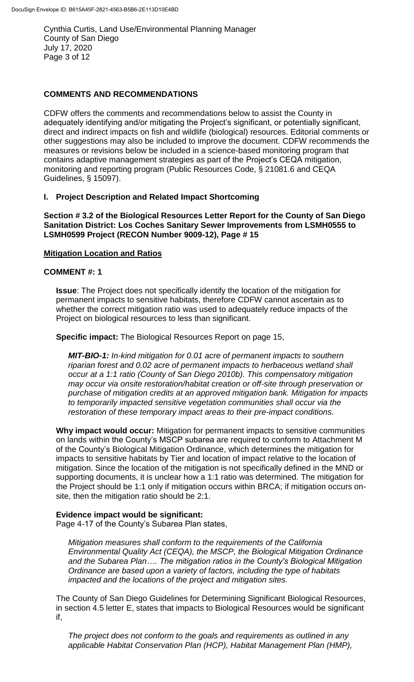Cynthia Curtis, Land Use/Environmental Planning Manager County of San Diego July 17, 2020 Page 3 of 12

## **COMMENTS AND RECOMMENDATIONS**

CDFW offers the comments and recommendations below to assist the County in adequately identifying and/or mitigating the Project's significant, or potentially significant, direct and indirect impacts on fish and wildlife (biological) resources. Editorial comments or other suggestions may also be included to improve the document. CDFW recommends the measures or revisions below be included in a science-based monitoring program that contains adaptive management strategies as part of the Project's CEQA mitigation, monitoring and reporting program (Public Resources Code, § 21081.6 and CEQA Guidelines, § 15097).

## **I. Project Description and Related Impact Shortcoming**

**Section # 3.2 of the Biological Resources Letter Report for the County of San Diego Sanitation District: Los Coches Sanitary Sewer Improvements from LSMH0555 to LSMH0599 Project (RECON Number 9009-12), Page # 15**

## **Mitigation Location and Ratios**

## **COMMENT #: 1**

**Issue**: The Project does not specifically identify the location of the mitigation for permanent impacts to sensitive habitats, therefore CDFW cannot ascertain as to whether the correct mitigation ratio was used to adequately reduce impacts of the Project on biological resources to less than significant.

#### **Specific impact:** The Biological Resources Report on page 15,

*MIT-BIO-1: In-kind mitigation for 0.01 acre of permanent impacts to southern riparian forest and 0.02 acre of permanent impacts to herbaceous wetland shall occur at a 1:1 ratio (County of San Diego 2010b). This compensatory mitigation may occur via onsite restoration/habitat creation or off-site through preservation or purchase of mitigation credits at an approved mitigation bank. Mitigation for impacts to temporarily impacted sensitive vegetation communities shall occur via the restoration of these temporary impact areas to their pre-impact conditions.*

**Why impact would occur:** Mitigation for permanent impacts to sensitive communities on lands within the County's MSCP subarea are required to conform to Attachment M of the County's Biological Mitigation Ordinance, which determines the mitigation for impacts to sensitive habitats by Tier and location of impact relative to the location of mitigation. Since the location of the mitigation is not specifically defined in the MND or supporting documents, it is unclear how a 1:1 ratio was determined. The mitigation for the Project should be 1:1 only if mitigation occurs within BRCA; if mitigation occurs onsite, then the mitigation ratio should be 2:1.

## **Evidence impact would be significant:**

Page 4-17 of the County's Subarea Plan states,

*Mitigation measures shall conform to the requirements of the California Environmental Quality Act (CEQA), the MSCP, the Biological Mitigation Ordinance and the Subarea Plan…. The mitigation ratios in the County's Biological Mitigation Ordinance are based upon a variety of factors, including the type of habitats impacted and the locations of the project and mitigation sites.* 

The County of San Diego Guidelines for Determining Significant Biological Resources, in section 4.5 letter E, states that impacts to Biological Resources would be significant if,

*The project does not conform to the goals and requirements as outlined in any applicable Habitat Conservation Plan (HCP), Habitat Management Plan (HMP),*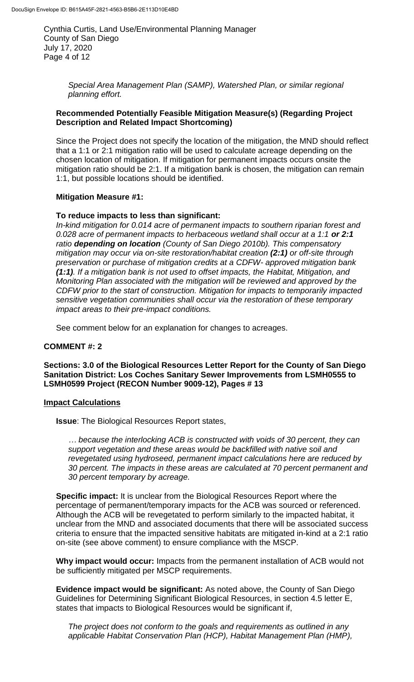Cynthia Curtis, Land Use/Environmental Planning Manager County of San Diego July 17, 2020 Page 4 of 12

> *Special Area Management Plan (SAMP), Watershed Plan, or similar regional planning effort.*

#### **Recommended Potentially Feasible Mitigation Measure(s) (Regarding Project Description and Related Impact Shortcoming)**

Since the Project does not specify the location of the mitigation, the MND should reflect that a 1:1 or 2:1 mitigation ratio will be used to calculate acreage depending on the chosen location of mitigation. If mitigation for permanent impacts occurs onsite the mitigation ratio should be 2:1. If a mitigation bank is chosen, the mitigation can remain 1:1, but possible locations should be identified.

## **Mitigation Measure #1:**

#### **To reduce impacts to less than significant:**

*In-kind mitigation for 0.014 acre of permanent impacts to southern riparian forest and 0.028 acre of permanent impacts to herbaceous wetland shall occur at a 1:1 or 2:1 ratio depending on location (County of San Diego 2010b). This compensatory mitigation may occur via on-site restoration/habitat creation (2:1) or off-site through preservation or purchase of mitigation credits at a CDFW- approved mitigation bank (1:1). If a mitigation bank is not used to offset impacts, the Habitat, Mitigation, and Monitoring Plan associated with the mitigation will be reviewed and approved by the CDFW prior to the start of construction. Mitigation for impacts to temporarily impacted sensitive vegetation communities shall occur via the restoration of these temporary impact areas to their pre-impact conditions.*

See comment below for an explanation for changes to acreages.

## **COMMENT #: 2**

**Sections: 3.0 of the Biological Resources Letter Report for the County of San Diego Sanitation District: Los Coches Sanitary Sewer Improvements from LSMH0555 to LSMH0599 Project (RECON Number 9009-12), Pages # 13**

## **Impact Calculations**

**Issue**: The Biological Resources Report states,

*… because the interlocking ACB is constructed with voids of 30 percent, they can support vegetation and these areas would be backfilled with native soil and revegetated using hydroseed, permanent impact calculations here are reduced by 30 percent. The impacts in these areas are calculated at 70 percent permanent and 30 percent temporary by acreage.*

**Specific impact:** It is unclear from the Biological Resources Report where the percentage of permanent/temporary impacts for the ACB was sourced or referenced. Although the ACB will be revegetated to perform similarly to the impacted habitat, it unclear from the MND and associated documents that there will be associated success criteria to ensure that the impacted sensitive habitats are mitigated in-kind at a 2:1 ratio on-site (see above comment) to ensure compliance with the MSCP.

**Why impact would occur:** Impacts from the permanent installation of ACB would not be sufficiently mitigated per MSCP requirements.

**Evidence impact would be significant:** As noted above, the County of San Diego Guidelines for Determining Significant Biological Resources, in section 4.5 letter E, states that impacts to Biological Resources would be significant if,

*The project does not conform to the goals and requirements as outlined in any applicable Habitat Conservation Plan (HCP), Habitat Management Plan (HMP),*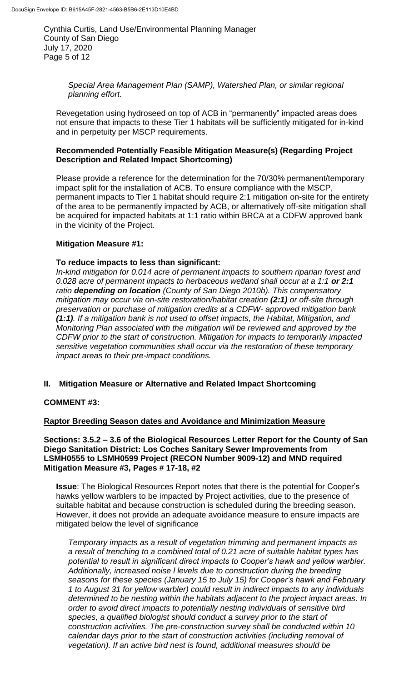Cynthia Curtis, Land Use/Environmental Planning Manager County of San Diego July 17, 2020 Page 5 of 12

> *Special Area Management Plan (SAMP), Watershed Plan, or similar regional planning effort.*

Revegetation using hydroseed on top of ACB in "permanently" impacted areas does not ensure that impacts to these Tier 1 habitats will be sufficiently mitigated for in-kind and in perpetuity per MSCP requirements.

## **Recommended Potentially Feasible Mitigation Measure(s) (Regarding Project Description and Related Impact Shortcoming)**

Please provide a reference for the determination for the 70/30% permanent/temporary impact split for the installation of ACB. To ensure compliance with the MSCP, permanent impacts to Tier 1 habitat should require 2:1 mitigation on-site for the entirety of the area to be permanently impacted by ACB, or alternatively off-site mitigation shall be acquired for impacted habitats at 1:1 ratio within BRCA at a CDFW approved bank in the vicinity of the Project.

## **Mitigation Measure #1:**

## **To reduce impacts to less than significant:**

*In-kind mitigation for 0.014 acre of permanent impacts to southern riparian forest and 0.028 acre of permanent impacts to herbaceous wetland shall occur at a 1:1 or 2:1 ratio depending on location (County of San Diego 2010b). This compensatory mitigation may occur via on-site restoration/habitat creation (2:1) or off-site through preservation or purchase of mitigation credits at a CDFW- approved mitigation bank (1:1). If a mitigation bank is not used to offset impacts, the Habitat, Mitigation, and Monitoring Plan associated with the mitigation will be reviewed and approved by the CDFW prior to the start of construction. Mitigation for impacts to temporarily impacted sensitive vegetation communities shall occur via the restoration of these temporary impact areas to their pre-impact conditions.*

## **II. Mitigation Measure or Alternative and Related Impact Shortcoming**

## **COMMENT #3:**

## **Raptor Breeding Season dates and Avoidance and Minimization Measure**

#### **Sections: 3.5.2 – 3.6 of the Biological Resources Letter Report for the County of San Diego Sanitation District: Los Coches Sanitary Sewer Improvements from LSMH0555 to LSMH0599 Project (RECON Number 9009-12) and MND required Mitigation Measure #3, Pages # 17-18, #2**

**Issue**: The Biological Resources Report notes that there is the potential for Cooper's hawks yellow warblers to be impacted by Project activities, due to the presence of suitable habitat and because construction is scheduled during the breeding season. However, it does not provide an adequate avoidance measure to ensure impacts are mitigated below the level of significance

*Temporary impacts as a result of vegetation trimming and permanent impacts as a result of trenching to a combined total of 0.21 acre of suitable habitat types has potential to result in significant direct impacts to Cooper's hawk and yellow warbler. Additionally, increased noise l levels due to construction during the breeding seasons for these species (January 15 to July 15) for Cooper's hawk and February 1 to August 31 for yellow warbler) could result in indirect impacts to any individuals determined to be nesting within the habitats adjacent to the project impact areas*. *In order to avoid direct impacts to potentially nesting individuals of sensitive bird species, a qualified biologist should conduct a survey prior to the start of construction activities. The pre-construction survey shall be conducted within 10 calendar days prior to the start of construction activities (including removal of vegetation). If an active bird nest is found, additional measures should be*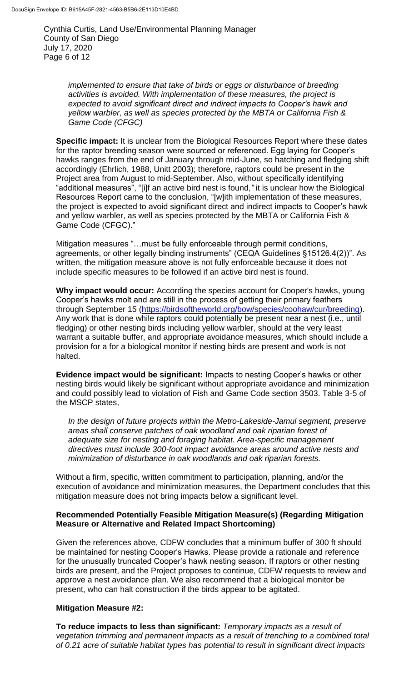Cynthia Curtis, Land Use/Environmental Planning Manager County of San Diego July 17, 2020 Page 6 of 12

> *implemented to ensure that take of birds or eggs or disturbance of breeding activities is avoided. With implementation of these measures, the project is expected to avoid significant direct and indirect impacts to Cooper's hawk and yellow warbler, as well as species protected by the MBTA or California Fish & Game Code (CFGC)*

**Specific impact:** It is unclear from the Biological Resources Report where these dates for the raptor breeding season were sourced or referenced. Egg laying for Cooper's hawks ranges from the end of January through mid-June, so hatching and fledging shift accordingly (Ehrlich, 1988, Unitt 2003); therefore, raptors could be present in the Project area from August to mid-September. Also, without specifically identifying "additional measures", "[i]f an active bird nest is found,*"* it is unclear how the Biological Resources Report came to the conclusion, "[w]ith implementation of these measures, the project is expected to avoid significant direct and indirect impacts to Cooper's hawk and yellow warbler, as well as species protected by the MBTA or California Fish & Game Code (CFGC)."

Mitigation measures "…must be fully enforceable through permit conditions, agreements, or other legally binding instruments" (CEQA Guidelines §15126.4(2))". As written, the mitigation measure above is not fully enforceable because it does not include specific measures to be followed if an active bird nest is found.

**Why impact would occur:** According the species account for Cooper's hawks, young Cooper's hawks molt and are still in the process of getting their primary feathers through September 15 [\(https://birdsoftheworld.org/bow/species/coohaw/cur/breeding\)](https://birdsoftheworld.org/bow/species/coohaw/cur/breeding). Any work that is done while raptors could potentially be present near a nest (i.e., until fledging) or other nesting birds including yellow warbler, should at the very least warrant a suitable buffer, and appropriate avoidance measures, which should include a provision for a for a biological monitor if nesting birds are present and work is not halted.

**Evidence impact would be significant:** Impacts to nesting Cooper's hawks or other nesting birds would likely be significant without appropriate avoidance and minimization and could possibly lead to violation of Fish and Game Code section 3503. Table 3-5 of the MSCP states,

*In the design of future projects within the Metro-Lakeside-Jamul segment, preserve areas shall conserve patches of oak woodland and oak riparian forest of adequate size for nesting and foraging habitat. Area-specific management directives must include 300-foot impact avoidance areas around active nests and minimization of disturbance in oak woodlands and oak riparian forests.*

Without a firm, specific, written commitment to participation, planning, and/or the execution of avoidance and minimization measures, the Department concludes that this mitigation measure does not bring impacts below a significant level.

#### **Recommended Potentially Feasible Mitigation Measure(s) (Regarding Mitigation Measure or Alternative and Related Impact Shortcoming)**

Given the references above, CDFW concludes that a minimum buffer of 300 ft should be maintained for nesting Cooper's Hawks. Please provide a rationale and reference for the unusually truncated Cooper's hawk nesting season. If raptors or other nesting birds are present, and the Project proposes to continue, CDFW requests to review and approve a nest avoidance plan. We also recommend that a biological monitor be present, who can halt construction if the birds appear to be agitated.

## **Mitigation Measure #2:**

**To reduce impacts to less than significant:** *Temporary impacts as a result of vegetation trimming and permanent impacts as a result of trenching to a combined total of 0.21 acre of suitable habitat types has potential to result in significant direct impacts*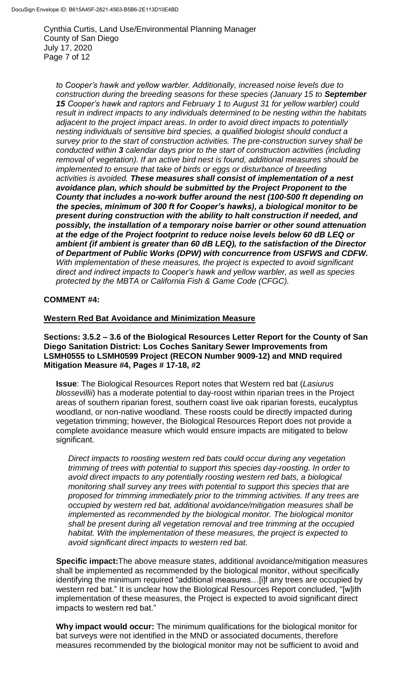Cynthia Curtis, Land Use/Environmental Planning Manager County of San Diego July 17, 2020 Page 7 of 12

*to Cooper's hawk and yellow warbler. Additionally, increased noise levels due to construction during the breeding seasons for these species (January 15 to September 15 Cooper's hawk and raptors and February 1 to August 31 for yellow warbler) could result in indirect impacts to any individuals determined to be nesting within the habitats adjacent to the project impact areas*. *In order to avoid direct impacts to potentially nesting individuals of sensitive bird species, a qualified biologist should conduct a survey prior to the start of construction activities. The pre-construction survey shall be conducted within 3 calendar days prior to the start of construction activities (including removal of vegetation). If an active bird nest is found, additional measures should be implemented to ensure that take of birds or eggs or disturbance of breeding activities is avoided. These measures shall consist of implementation of a nest avoidance plan, which should be submitted by the Project Proponent to the County that includes a no-work buffer around the nest (100-500 ft depending on the species, minimum of 300 ft for Cooper's hawks), a biological monitor to be present during construction with the ability to halt construction if needed, and possibly, the installation of a temporary noise barrier or other sound attenuation at the edge of the Project footprint to reduce noise levels below 60 dB LEQ or ambient (if ambient is greater than 60 dB LEQ), to the satisfaction of the Director of Department of Public Works (DPW) with concurrence from USFWS and CDFW. With implementation of these measures, the project is expected to avoid significant direct and indirect impacts to Cooper's hawk and yellow warbler, as well as species protected by the MBTA or California Fish & Game Code (CFGC).*

#### **COMMENT #4:**

#### **Western Red Bat Avoidance and Minimization Measure**

**Sections: 3.5.2 – 3.6 of the Biological Resources Letter Report for the County of San Diego Sanitation District: Los Coches Sanitary Sewer Improvements from LSMH0555 to LSMH0599 Project (RECON Number 9009-12) and MND required Mitigation Measure #4, Pages # 17-18, #2**

**Issue**: The Biological Resources Report notes that Western red bat (*Lasiurus blossevillii*) has a moderate potential to day-roost within riparian trees in the Project areas of southern riparian forest, southern coast live oak riparian forests, eucalyptus woodland, or non-native woodland. These roosts could be directly impacted during vegetation trimming; however, the Biological Resources Report does not provide a complete avoidance measure which would ensure impacts are mitigated to below significant.

*Direct impacts to roosting western red bats could occur during any vegetation trimming of trees with potential to support this species day-roosting. In order to avoid direct impacts to any potentially roosting western red bats, a biological monitoring shall survey any trees with potential to support this species that are proposed for trimming immediately prior to the trimming activities. If any trees are occupied by western red bat, additional avoidance/mitigation measures shall be implemented as recommended by the biological monitor. The biological monitor shall be present during all vegetation removal and tree trimming at the occupied habitat. With the implementation of these measures, the project is expected to avoid significant direct impacts to western red bat.*

**Specific impact:**The above measure states, additional avoidance/mitigation measures shall be implemented as recommended by the biological monitor, without specifically identifying the minimum required "additional measures...[i]f any trees are occupied by western red bat." It is unclear how the Biological Resources Report concluded, "[w]ith implementation of these measures, the Project is expected to avoid significant direct impacts to western red bat."

**Why impact would occur:** The minimum qualifications for the biological monitor for bat surveys were not identified in the MND or associated documents, therefore measures recommended by the biological monitor may not be sufficient to avoid and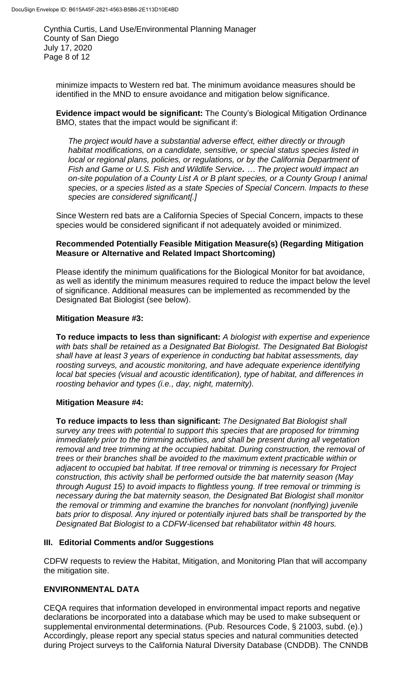Cynthia Curtis, Land Use/Environmental Planning Manager County of San Diego July 17, 2020 Page 8 of 12

minimize impacts to Western red bat. The minimum avoidance measures should be identified in the MND to ensure avoidance and mitigation below significance.

**Evidence impact would be significant:** The County's Biological Mitigation Ordinance BMO, states that the impact would be significant if:

*The project would have a substantial adverse effect, either directly or through habitat modifications, on a candidate, sensitive, or special status species listed in local or regional plans, policies, or regulations, or by the California Department of Fish and Game or U.S. Fish and Wildlife Service. … The project would impact an on-site population of a County List A or B plant species, or a County Group I animal species, or a species listed as a state Species of Special Concern. Impacts to these species are considered significant[.]*

Since Western red bats are a California Species of Special Concern, impacts to these species would be considered significant if not adequately avoided or minimized.

# **Recommended Potentially Feasible Mitigation Measure(s) (Regarding Mitigation Measure or Alternative and Related Impact Shortcoming)**

Please identify the minimum qualifications for the Biological Monitor for bat avoidance, as well as identify the minimum measures required to reduce the impact below the level of significance. Additional measures can be implemented as recommended by the Designated Bat Biologist (see below).

# **Mitigation Measure #3:**

**To reduce impacts to less than significant:** *A biologist with expertise and experience with bats shall be retained as a Designated Bat Biologist. The Designated Bat Biologist shall have at least 3 years of experience in conducting bat habitat assessments, day roosting surveys, and acoustic monitoring, and have adequate experience identifying local bat species (visual and acoustic identification), type of habitat, and differences in roosting behavior and types (i.e., day, night, maternity).*

# **Mitigation Measure #4:**

**To reduce impacts to less than significant:** *The Designated Bat Biologist shall survey any trees with potential to support this species that are proposed for trimming immediately prior to the trimming activities, and shall be present during all vegetation removal and tree trimming at the occupied habitat. During construction, the removal of trees or their branches shall be avoided to the maximum extent practicable within or adjacent to occupied bat habitat. If tree removal or trimming is necessary for Project construction, this activity shall be performed outside the bat maternity season (May through August 15) to avoid impacts to flightless young. If tree removal or trimming is necessary during the bat maternity season, the Designated Bat Biologist shall monitor the removal or trimming and examine the branches for nonvolant (nonflying) juvenile bats prior to disposal. Any injured or potentially injured bats shall be transported by the Designated Bat Biologist to a CDFW-licensed bat rehabilitator within 48 hours.*

# **III. Editorial Comments and/or Suggestions**

CDFW requests to review the Habitat, Mitigation, and Monitoring Plan that will accompany the mitigation site.

# **ENVIRONMENTAL DATA**

CEQA requires that information developed in environmental impact reports and negative declarations be incorporated into a database which may be used to make subsequent or supplemental environmental determinations. (Pub. Resources Code, § 21003, subd. (e).) Accordingly, please report any special status species and natural communities detected during Project surveys to the California Natural Diversity Database (CNDDB). The CNNDB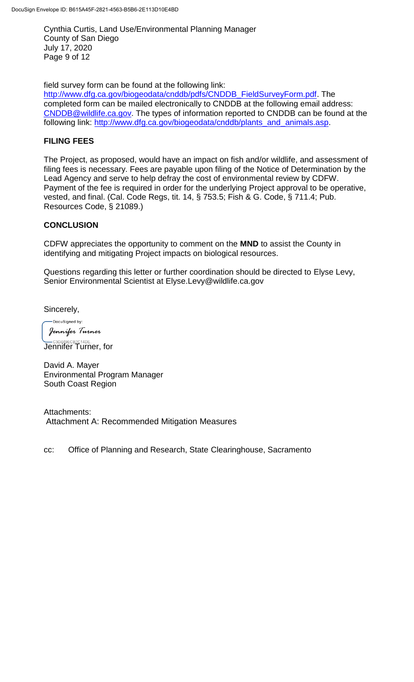Cynthia Curtis, Land Use/Environmental Planning Manager County of San Diego July 17, 2020 Page 9 of 12

field survey form can be found at the following link:

[http://www.dfg.ca.gov/biogeodata/cnddb/pdfs/CNDDB\\_FieldSurveyForm.pdf.](http://www.dfg.ca.gov/biogeodata/cnddb/pdfs/CNDDB_FieldSurveyForm.pdf) The completed form can be mailed electronically to CNDDB at the following email address: [CNDDB@wildlife.ca.gov.](mailto:cnddb@dfg.ca.gov) The types of information reported to CNDDB can be found at the following link: [http://www.dfg.ca.gov/biogeodata/cnddb/plants\\_and\\_animals.asp.](http://www.dfg.ca.gov/biogeodata/cnddb/plants_and_animals.asp)

## **FILING FEES**

The Project, as proposed, would have an impact on fish and/or wildlife, and assessment of filing fees is necessary. Fees are payable upon filing of the Notice of Determination by the Lead Agency and serve to help defray the cost of environmental review by CDFW. Payment of the fee is required in order for the underlying Project approval to be operative, vested, and final. (Cal. Code Regs, tit. 14, § 753.5; Fish & G. Code, § 711.4; Pub. Resources Code, § 21089.)

#### **CONCLUSION**

CDFW appreciates the opportunity to comment on the **MND** to assist the County in identifying and mitigating Project impacts on biological resources.

Questions regarding this letter or further coordination should be directed to Elyse Levy, Senior Environmental Scientist at Elyse.Levy@wildlife.ca.gov

Sincerely,

DocuSianed by: Jennifer Turner —<sub>сзр449Е¢в<u>zс</u>14DЕ...<br>Jennifer Turner, for</sub>

David A. Mayer Environmental Program Manager South Coast Region

Attachments: Attachment A: Recommended Mitigation Measures

cc: Office of Planning and Research, State Clearinghouse, Sacramento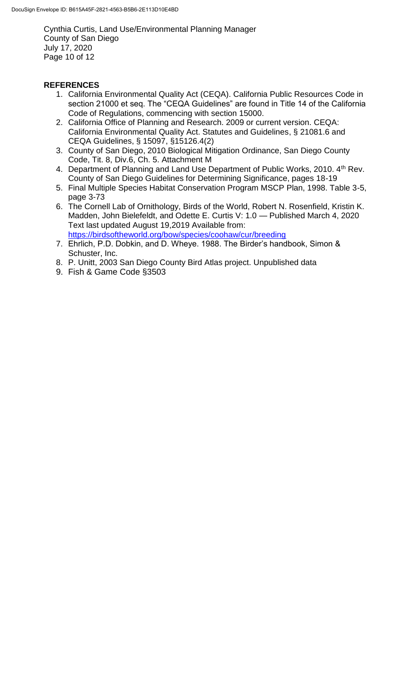Cynthia Curtis, Land Use/Environmental Planning Manager County of San Diego July 17, 2020 Page 10 of 12

# **REFERENCES**

- 1. California Environmental Quality Act (CEQA). California Public Resources Code in section 21000 et seq. The "CEQA Guidelines" are found in Title 14 of the California Code of Regulations, commencing with section 15000.
- 2. California Office of Planning and Research. 2009 or current version. CEQA: California Environmental Quality Act. Statutes and Guidelines, § 21081.6 and CEQA Guidelines, § 15097, §15126.4(2)
- 3. County of San Diego, 2010 Biological Mitigation Ordinance, San Diego County Code, Tit. 8, Div.6, Ch. 5. Attachment M
- 4. Department of Planning and Land Use Department of Public Works, 2010. 4<sup>th</sup> Rev. County of San Diego Guidelines for Determining Significance, pages 18-19
- 5. Final Multiple Species Habitat Conservation Program MSCP Plan, 1998. Table 3-5, page 3-73
- 6. The Cornell Lab of Ornithology, Birds of the World, Robert N. Rosenfield, Kristin K. Madden, John Bielefeldt, and Odette E. Curtis V: 1.0 — Published March 4, 2020 Text last updated August 19,2019 Available from: <https://birdsoftheworld.org/bow/species/coohaw/cur/breeding>
- 7. Ehrlich, P.D. Dobkin, and D. Wheye. 1988. The Birder's handbook, Simon & Schuster, Inc.
- 8. P. Unitt, 2003 San Diego County Bird Atlas project. Unpublished data
- 9. Fish & Game Code §3503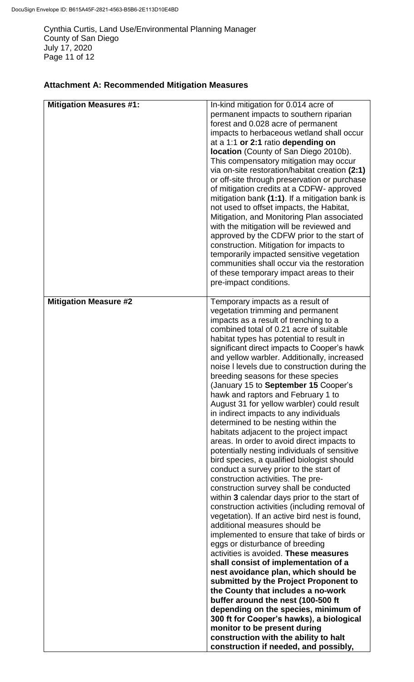Cynthia Curtis, Land Use/Environmental Planning Manager County of San Diego July 17, 2020 Page 11 of 12

# **Attachment A: Recommended Mitigation Measures**

| <b>Mitigation Measures #1:</b> | In-kind mitigation for 0.014 acre of<br>permanent impacts to southern riparian<br>forest and 0.028 acre of permanent<br>impacts to herbaceous wetland shall occur<br>at a 1:1 or 2:1 ratio depending on<br><b>location</b> (County of San Diego 2010b).<br>This compensatory mitigation may occur<br>via on-site restoration/habitat creation (2:1)<br>or off-site through preservation or purchase<br>of mitigation credits at a CDFW- approved<br>mitigation bank (1:1). If a mitigation bank is<br>not used to offset impacts, the Habitat,<br>Mitigation, and Monitoring Plan associated<br>with the mitigation will be reviewed and<br>approved by the CDFW prior to the start of<br>construction. Mitigation for impacts to<br>temporarily impacted sensitive vegetation<br>communities shall occur via the restoration<br>of these temporary impact areas to their<br>pre-impact conditions.                                                                                                                                                                                                                                                                                                                                                                                                                                                                                                                                                                                                                                                                                                                                              |
|--------------------------------|--------------------------------------------------------------------------------------------------------------------------------------------------------------------------------------------------------------------------------------------------------------------------------------------------------------------------------------------------------------------------------------------------------------------------------------------------------------------------------------------------------------------------------------------------------------------------------------------------------------------------------------------------------------------------------------------------------------------------------------------------------------------------------------------------------------------------------------------------------------------------------------------------------------------------------------------------------------------------------------------------------------------------------------------------------------------------------------------------------------------------------------------------------------------------------------------------------------------------------------------------------------------------------------------------------------------------------------------------------------------------------------------------------------------------------------------------------------------------------------------------------------------------------------------------------------------------------------------------------------------------------------------------|
| <b>Mitigation Measure #2</b>   | Temporary impacts as a result of<br>vegetation trimming and permanent<br>impacts as a result of trenching to a<br>combined total of 0.21 acre of suitable<br>habitat types has potential to result in<br>significant direct impacts to Cooper's hawk<br>and yellow warbler. Additionally, increased<br>noise I levels due to construction during the<br>breeding seasons for these species<br>(January 15 to September 15 Cooper's<br>hawk and raptors and February 1 to<br>August 31 for yellow warbler) could result<br>in indirect impacts to any individuals<br>determined to be nesting within the<br>habitats adjacent to the project impact<br>areas. In order to avoid direct impacts to<br>potentially nesting individuals of sensitive<br>bird species, a qualified biologist should<br>conduct a survey prior to the start of<br>construction activities. The pre-<br>construction survey shall be conducted<br>within 3 calendar days prior to the start of<br>construction activities (including removal of<br>vegetation). If an active bird nest is found,<br>additional measures should be<br>implemented to ensure that take of birds or<br>eggs or disturbance of breeding<br>activities is avoided. These measures<br>shall consist of implementation of a<br>nest avoidance plan, which should be<br>submitted by the Project Proponent to<br>the County that includes a no-work<br>buffer around the nest (100-500 ft<br>depending on the species, minimum of<br>300 ft for Cooper's hawks), a biological<br>monitor to be present during<br>construction with the ability to halt<br>construction if needed, and possibly, |